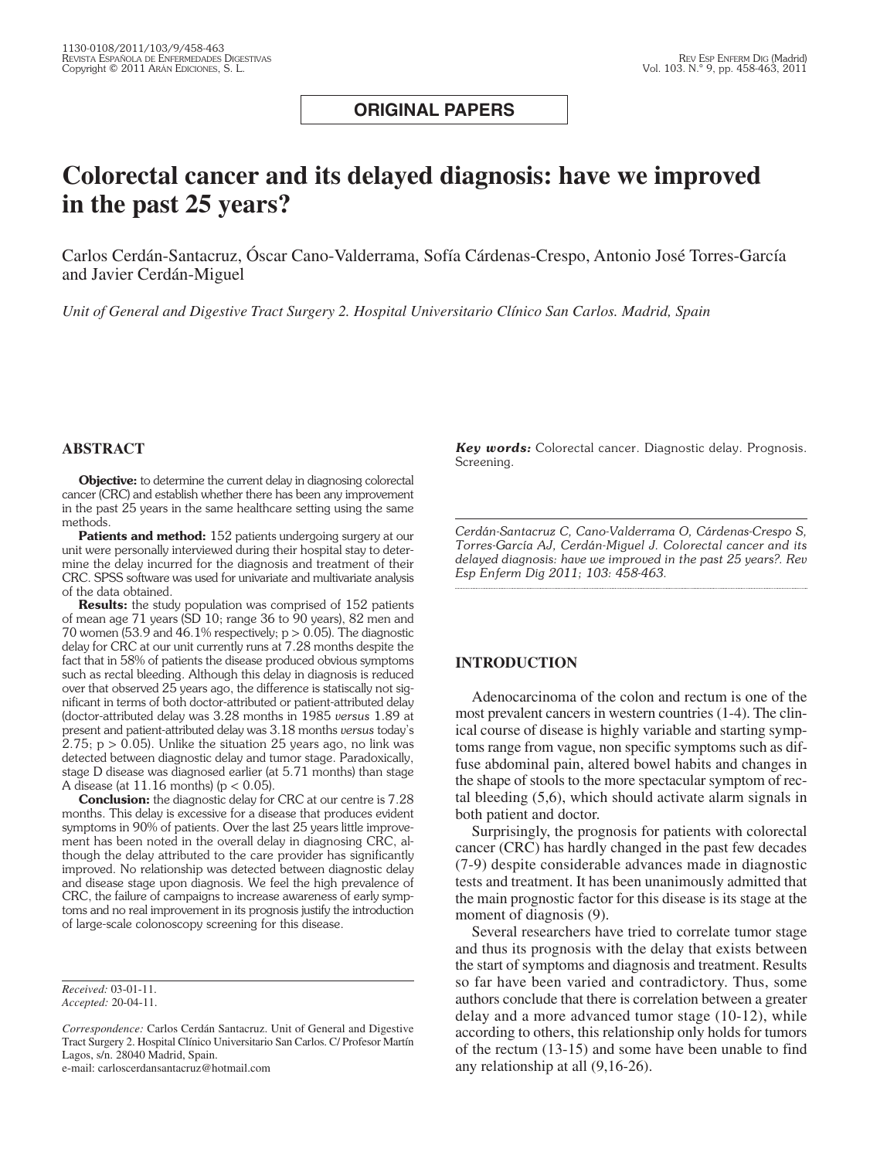# **ORIGINAL PAPERS**

# **Colorectal cancer and its delayed diagnosis: have we improved in the past 25 years?**

Carlos Cerdán-Santacruz, Óscar Cano-Valderrama, Sofía Cárdenas-Crespo, Antonio José Torres-García and Javier Cerdán-Miguel

*Unit of General and Digestive Tract Surgery 2. Hospital Universitario Clínico San Carlos. Madrid, Spain*

#### **ABSTRACT**

**Objective:** to determine the current delay in diagnosing colorectal cancer (CRC) and establish whether there has been any improvement in the past 25 years in the same healthcare setting using the same methods.

Patients and method: 152 patients undergoing surgery at our unit were personally interviewed during their hospital stay to determine the delay incurred for the diagnosis and treatment of their CRC. SPSS software was used for univariate and multivariate analysis of the data obtained.

**Results:** the study population was comprised of 152 patients of mean age 71 years (SD 10; range 36 to 90 years), 82 men and 70 women (53.9 and 46.1% respectively;  $p > 0.05$ ). The diagnostic delay for CRC at our unit currently runs at 7.28 months despite the fact that in 58% of patients the disease produced obvious symptoms such as rectal bleeding. Although this delay in diagnosis is reduced over that observed 25 years ago, the difference is statiscally not significant in terms of both doctor-attributed or patient-attributed delay (doctor-attributed delay was 3.28 months in 1985 *versus* 1.89 at present and patient-attributed delay was 3.18 months *versus* today's 2.75;  $p > 0.05$ ). Unlike the situation 25 years ago, no link was detected between diagnostic delay and tumor stage. Paradoxically, stage D disease was diagnosed earlier (at 5.71 months) than stage A disease (at  $11.16$  months) ( $p < 0.05$ ).

**Conclusion:** the diagnostic delay for CRC at our centre is 7.28 months. This delay is excessive for a disease that produces evident symptoms in 90% of patients. Over the last 25 years little improvement has been noted in the overall delay in diagnosing CRC, although the delay attributed to the care provider has significantly improved. No relationship was detected between diagnostic delay and disease stage upon diagnosis. We feel the high prevalence of CRC, the failure of campaigns to increase awareness of early symptoms and no real improvement in its prognosis justify the introduction of large-scale colonoscopy screening for this disease.

*Received:* 03-01-11. *Accepted:* 20-04-11.

e-mail: carloscerdansantacruz@hotmail.com

*Key words:* Colorectal cancer. Diagnostic delay. Prognosis. Screening.

*Cerdán-Santacruz C, Cano-Valderrama O, Cárdenas-Crespo S, Torres-García AJ, Cerdán-Miguel J. Colorectal cancer and its delayed diagnosis: have we improved in the past 25 years?. Rev Esp Enferm Dig 2011; 103: 458-463.*

### **INTRODUCTION**

Adenocarcinoma of the colon and rectum is one of the most prevalent cancers in western countries (1-4). The clinical course of disease is highly variable and starting symptoms range from vague, non specific symptoms such as diffuse abdominal pain, altered bowel habits and changes in the shape of stools to the more spectacular symptom of rectal bleeding (5,6), which should activate alarm signals in both patient and doctor.

Surprisingly, the prognosis for patients with colorectal cancer (CRC) has hardly changed in the past few decades (7-9) despite considerable advances made in diagnostic tests and treatment. It has been unanimously admitted that the main prognostic factor for this disease is its stage at the moment of diagnosis  $(9)$ .

Several researchers have tried to correlate tumor stage and thus its prognosis with the delay that exists between the start of symptoms and diagnosis and treatment. Results so far have been varied and contradictory. Thus, some authors conclude that there is correlation between a greater delay and a more advanced tumor stage (10-12), while according to others, this relationship only holds for tumors of the rectum (13-15) and some have been unable to find any relationship at all (9,16-26).

*Correspondence:* Carlos Cerdán Santacruz. Unit of General and Digestive Tract Surgery 2. Hospital Clínico Universitario San Carlos. C/ Profesor Martín Lagos, s/n. 28040 Madrid, Spain.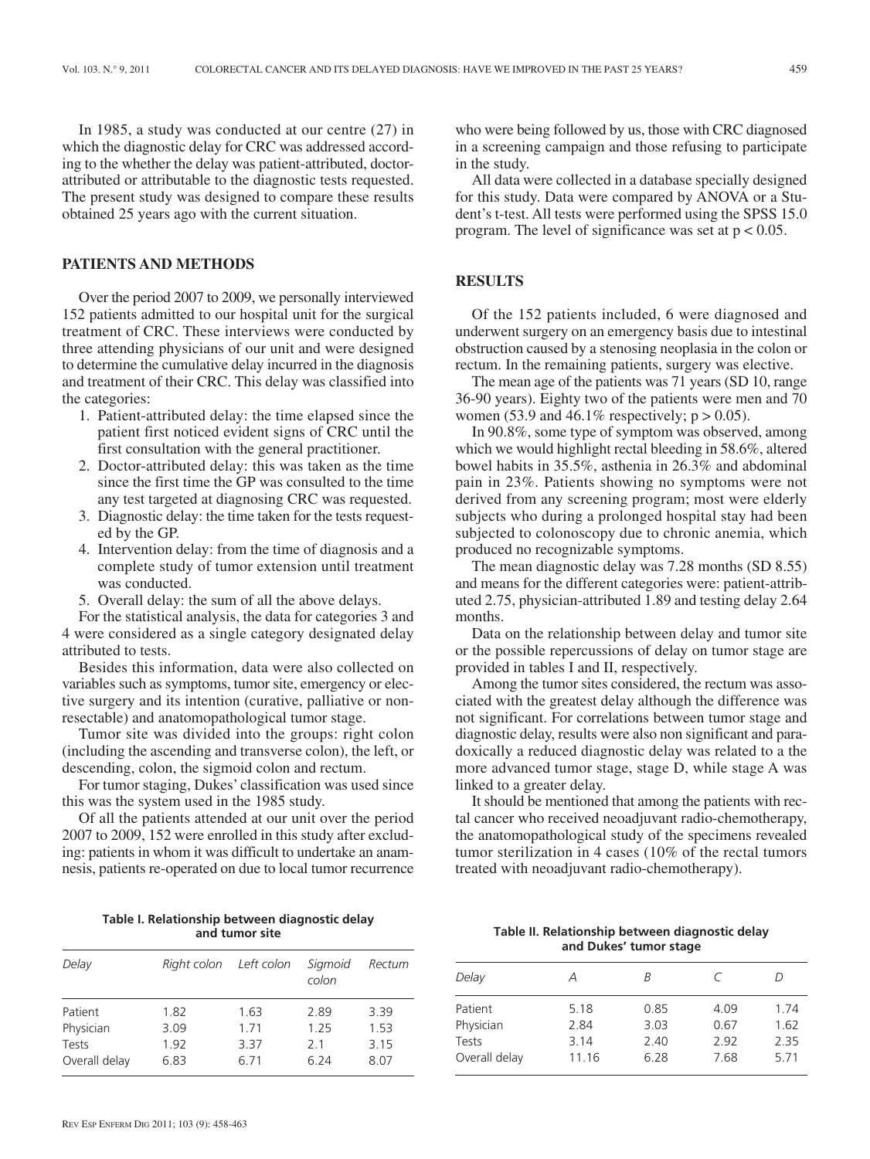In 1985, a study was conducted at our centre (27) in which the diagnostic delay for CRC was addressed according to the whether the delay was patient-attributed, doctorattributed or attributable to the diagnostic tests requested. The present study was designed to compare these results obtained 25 years ago with the current situation.

# **PATIENTS AND METHODS**

Over the period 2007 to 2009, we personally interviewed 152 patients admitted to our hospital unit for the surgical treatment of CRC. These interviews were conducted by three attending physicians of our unit and were designed to determine the cumulative delay incurred in the diagnosis and treatment of their CRC. This delay was classified into the categories:

- 1. Patient-attributed delay: the time elapsed since the patient first noticed evident signs of CRC until the first consultation with the general practitioner.
- 2. Doctor-attributed delay: this was taken as the time since the first time the GP was consulted to the time any test targeted at diagnosing CRC was requested.
- 3. Diagnostic delay: the time taken for the tests requested by the GP.
- 4. Intervention delay: from the time of diagnosis and a complete study of tumor extension until treatment was conducted.
- 5. Overall delay: the sum of all the above delays.

For the statistical analysis, the data for categories 3 and 4 were considered as a single category designated delay attributed to tests.

Besides this information, data were also collected on variables such as symptoms, tumor site, emergency or elective surgery and its intention (curative, palliative or nonresectable) and anatomopathological tumor stage.

Tumor site was divided into the groups: right colon (including the ascending and transverse colon), the left, or descending, colon, the sigmoid colon and rectum.

For tumor staging, Dukes' classification was used since this was the system used in the 1985 study.

Of all the patients attended at our unit over the period 2007 to 2009, 152 were enrolled in this study after excluding: patients in whom it was difficult to undertake an anamnesis, patients re-operated on due to local tumor recurrence

**Table I. Relationship between diagnostic delay and tumor site**

| Delay         | Right colon Left colon |       | Sigmoid<br>colon | Rectum |
|---------------|------------------------|-------|------------------|--------|
| Patient       | 1.82                   | 1.63  | 2.89             | 3.39   |
| Physician     | 3.09                   | 1 7 1 | 1 25             | 1.53   |
| Tests         | 192                    | 3.37  | 21               | 3.15   |
| Overall delay | 6.83                   | 6.71  | 6 24             | 8.07   |

who were being followed by us, those with CRC diagnosed in a screening campaign and those refusing to participate in the study.

All data were collected in a database specially designed for this study. Data were compared by ANOVA or a Student's t-test. All tests were performed using the SPSS 15.0 program. The level of significance was set at  $p < 0.05$ .

# **RESULTS**

Of the 152 patients included, 6 were diagnosed and underwent surgery on an emergency basis due to intestinal obstruction caused by a stenosing neoplasia in the colon or rectum. In the remaining patients, surgery was elective.

The mean age of the patients was 71 years (SD 10, range 36-90 years). Eighty two of the patients were men and 70 women (53.9 and 46.1% respectively;  $p > 0.05$ ).

In 90.8%, some type of symptom was observed, among which we would highlight rectal bleeding in 58.6%, altered bowel habits in 35.5%, asthenia in 26.3% and abdominal pain in 23%. Patients showing no symptoms were not derived from any screening program; most were elderly subjects who during a prolonged hospital stay had been subjected to colonoscopy due to chronic anemia, which produced no recognizable symptoms.

The mean diagnostic delay was 7.28 months (SD 8.55) and means for the different categories were: patient-attributed 2.75, physician-attributed 1.89 and testing delay 2.64 months.

Data on the relationship between delay and tumor site or the possible repercussions of delay on tumor stage are provided in tables I and II, respectively.

Among the tumor sites considered, the rectum was associated with the greatest delay although the difference was not significant. For correlations between tumor stage and diagnostic delay, results were also non significant and paradoxically a reduced diagnostic delay was related to a the more advanced tumor stage, stage D, while stage A was linked to a greater delay.

It should be mentioned that among the patients with rectal cancer who received neoadjuvant radio-chemotherapy, the anatomopathological study of the specimens revealed tumor sterilization in 4 cases (10% of the rectal tumors treated with neoadjuvant radio-chemotherapy).

### **Table II. Relationship between diagnostic delay and Dukes' tumor stage**

| А     | R    | С    | $\left( \right)$ |
|-------|------|------|------------------|
| 5.18  | 0.85 | 4.09 | 1.74             |
| 2.84  | 3.03 | 0.67 | 1.62             |
| 3.14  | 2.40 | 2.92 | 2.35             |
| 11.16 | 6.28 | 7.68 | 5.71             |
|       |      |      |                  |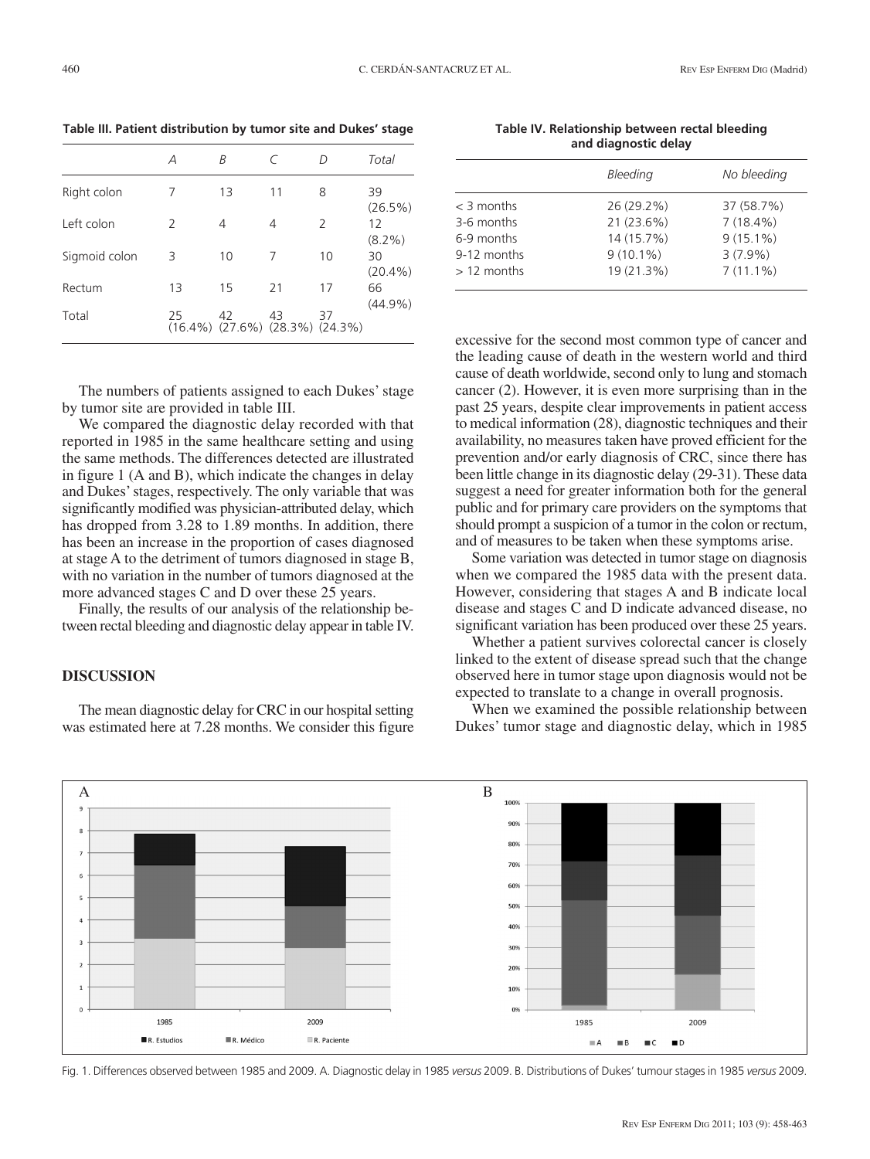**Table III. Patient distribution by tumor site and Dukes' stage** 

|               | Α             | R                                                 |    | D             | Total                            |
|---------------|---------------|---------------------------------------------------|----|---------------|----------------------------------|
| Right colon   | 7             | 13                                                | 11 | 8             | 39<br>(26.5%)<br>12<br>$(8.2\%)$ |
| Left colon    | $\mathcal{L}$ | 4                                                 | 4  | $\mathcal{L}$ |                                  |
| Sigmoid colon | 3             | 10                                                | 7  | 10            | 30<br>$(20.4\%)$                 |
| Rectum        | 13            | 15                                                | 21 | 17            | 66                               |
| Total         | 25            | 42<br>$(16.4\%)$ $(27.6\%)$ $(28.3\%)$ $(24.3\%)$ | 43 | 37            | $(44.9\%)$                       |

The numbers of patients assigned to each Dukes' stage by tumor site are provided in table III.

We compared the diagnostic delay recorded with that reported in 1985 in the same healthcare setting and using the same methods. The differences detected are illustrated in figure 1 (A and B), which indicate the changes in delay and Dukes' stages, respectively. The only variable that was significantly modified was physician-attributed delay, which has dropped from 3.28 to 1.89 months. In addition, there has been an increase in the proportion of cases diagnosed at stage A to the detriment of tumors diagnosed in stage B, with no variation in the number of tumors diagnosed at the more advanced stages C and D over these 25 years.

Finally, the results of our analysis of the relationship be tween rectal bleeding and diagnostic delay appear in table IV.

# **DISCUSSION**

The mean diagnostic delay for CRC in our hospital setting was estimated here at 7.28 months. We consider this figure

**Table IV. Relationship between rectal bleeding and diagnostic delay** 

|              | Bleeding    | No bleeding |
|--------------|-------------|-------------|
| $<$ 3 months | 26 (29.2%)  | 37 (58.7%)  |
| 3-6 months   | 21 (23.6%)  | $7(18.4\%)$ |
| 6-9 months   | 14 (15.7%)  | $9(15.1\%)$ |
| 9-12 months  | $9(10.1\%)$ | $3(7.9\%)$  |
| $>12$ months | 19 (21.3%)  | $7(11.1\%)$ |
|              |             |             |

excessive for the second most common type of cancer and the leading cause of death in the western world and third cause of death worldwide, second only to lung and stomach cancer (2). However, it is even more surprising than in the past 25 years, despite clear improvements in patient access to medical information (28), diagnostic techniques and their availability, no measures taken have proved efficient for the prevention and/or early diagnosis of CRC, since there has been little change in its diagnostic delay (29-31). These data suggest a need for greater information both for the general public and for primary care providers on the symptoms that should prompt a suspicion of a tumor in the colon or rectum, and of measures to be taken when these symptoms arise.

Some variation was detected in tumor stage on diagnosis when we compared the 1985 data with the present data. However, considering that stages A and B indicate local disease and stages C and D indicate advanced disease, no significant variation has been produced over these 25 years.

Whether a patient survives colorectal cancer is closely linked to the extent of disease spread such that the change observed here in tumor stage upon diagnosis would not be expected to translate to a change in overall prognosis.

When we examined the possible relationship between Dukes' tumor stage and diagnostic delay, which in 1985



Fig. 1. Differences observed between 1985 and 2009. A. Diagnostic delay in 1985 *versus* 2009. B. Distributions of Dukes' tumour stages in 1985 *versus* 2009.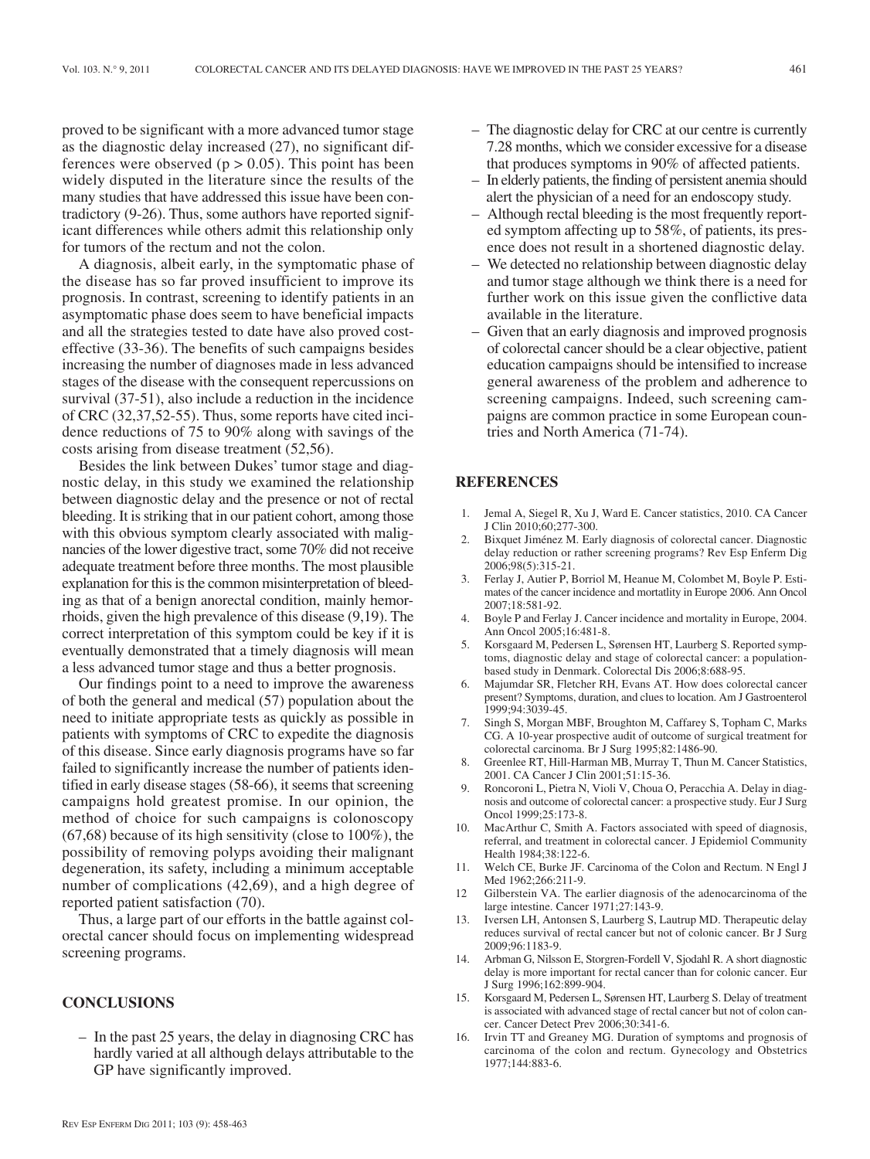proved to be significant with a more advanced tumor stage as the diagnostic delay increased (27), no significant differences were observed ( $p > 0.05$ ). This point has been widely disputed in the literature since the results of the many studies that have addressed this issue have been contradictory (9-26). Thus, some authors have reported significant differences while others admit this relationship only for tumors of the rectum and not the colon.

A diagnosis, albeit early, in the symptomatic phase of the disease has so far proved insufficient to improve its prognosis. In contrast, screening to identify patients in an asymptomatic phase does seem to have beneficial impacts and all the strategies tested to date have also proved costeffective (33-36). The benefits of such campaigns besides increasing the number of diagnoses made in less advanced stages of the disease with the consequent repercussions on survival (37-51), also include a reduction in the incidence of CRC (32,37,52-55). Thus, some reports have cited incidence reductions of 75 to 90% along with savings of the costs arising from disease treatment (52,56).

Besides the link between Dukes' tumor stage and diagnostic delay, in this study we examined the relationship between diagnostic delay and the presence or not of rectal bleeding. It is striking that in our patient cohort, among those with this obvious symptom clearly associated with malignancies of the lower digestive tract, some 70% did not receive adequate treatment before three months. The most plausible explanation for this is the common misinterpretation of bleeding as that of a benign anorectal condition, mainly hemorrhoids, given the high prevalence of this disease (9,19). The correct interpretation of this symptom could be key if it is eventually demonstrated that a timely diagnosis will mean a less advanced tumor stage and thus a better prognosis.

Our findings point to a need to improve the awareness of both the general and medical (57) population about the need to initiate appropriate tests as quickly as possible in patients with symptoms of CRC to expedite the diagnosis of this disease. Since early diagnosis programs have so far failed to significantly increase the number of patients identified in early disease stages (58-66), it seems that screening campaigns hold greatest promise. In our opinion, the method of choice for such campaigns is colonoscopy (67,68) because of its high sensitivity (close to 100%), the possibility of removing polyps avoiding their malignant degeneration, its safety, including a minimum acceptable number of complications (42,69), and a high degree of reported patient satisfaction (70).

Thus, a large part of our efforts in the battle against colorectal cancer should focus on implementing widespread screening programs.

#### **CONCLUSIONS**

– In the past 25 years, the delay in diagnosing CRC has hardly varied at all although delays attributable to the GP have significantly improved.

- The diagnostic delay for CRC at our centre is currently 7.28 months, which we consider excessive for a disease that produces symptoms in 90% of affected patients.
- In elderly patients, the finding of persistent anemia should alert the physician of a need for an endoscopy study.
- Although rectal bleeding is the most frequently reported symptom affecting up to 58%, of patients, its presence does not result in a shortened diagnostic delay.
- We detected no relationship between diagnostic delay and tumor stage although we think there is a need for further work on this issue given the conflictive data available in the literature.
- Given that an early diagnosis and improved prognosis of colorectal cancer should be a clear objective, patient education campaigns should be intensified to increase general awareness of the problem and adherence to screening campaigns. Indeed, such screening campaigns are common practice in some European countries and North America (71-74).

## **REFERENCES**

- 1. Jemal A, Siegel R, Xu J, Ward E. Cancer statistics, 2010. CA Cancer J Clin 2010;60;277-300.
- 2. Bixquet Jiménez M. Early diagnosis of colorectal cancer. Diagnostic delay reduction or rather screening programs? Rev Esp Enferm Dig 2006;98(5):315-21.
- 3. Ferlay J, Autier P, Borriol M, Heanue M, Colombet M, Boyle P. Estimates of the cancer incidence and mortatlity in Europe 2006. Ann Oncol 2007;18:581-92.
- 4. Boyle P and Ferlay J. Cancer incidence and mortality in Europe, 2004. Ann Oncol 2005;16:481-8.
- 5. Korsgaard M, Pedersen L, Sørensen HT, Laurberg S. Reported symptoms, diagnostic delay and stage of colorectal cancer: a populationbased study in Denmark. Colorectal Dis 2006;8:688-95.
- 6. Majumdar SR, Fletcher RH, Evans AT. How does colorectal cancer present? Symptoms, duration, and clues to location. Am J Gastroenterol 1999;94:3039-45.
- 7. Singh S, Morgan MBF, Broughton M, Caffarey S, Topham C, Marks CG. A 10-year prospective audit of outcome of surgical treatment for colorectal carcinoma. Br J Surg 1995;82:1486-90.
- 8. Greenlee RT, Hill-Harman MB, Murray T, Thun M. Cancer Statistics, 2001. CA Cancer J Clin 2001;51:15-36.
- 9. Roncoroni L, Pietra N, Violi V, Choua O, Peracchia A. Delay in diagnosis and outcome of colorectal cancer: a prospective study. Eur J Surg Oncol 1999;25:173-8.
- 10. MacArthur C, Smith A. Factors associated with speed of diagnosis, referral, and treatment in colorectal cancer. J Epidemiol Community Health 1984;38:122-6.
- 11. Welch CE, Burke JF. Carcinoma of the Colon and Rectum. N Engl J Med 1962;266:211-9.
- 12 Gilberstein VA. The earlier diagnosis of the adenocarcinoma of the large intestine. Cancer 1971;27:143-9.
- 13. Iversen LH, Antonsen S, Laurberg S, Lautrup MD. Therapeutic delay reduces survival of rectal cancer but not of colonic cancer. Br J Surg 2009;96:1183-9.
- 14. Arbman G, Nilsson E, Storgren-Fordell V, Sjodahl R. A short diagnostic delay is more important for rectal cancer than for colonic cancer. Eur J Surg 1996;162:899-904.
- 15. Korsgaard M, Pedersen L, Sørensen HT, Laurberg S. Delay of treatment is associated with advanced stage of rectal cancer but not of colon cancer. Cancer Detect Prev 2006;30:341-6.
- 16. Irvin TT and Greaney MG. Duration of symptoms and prognosis of carcinoma of the colon and rectum. Gynecology and Obstetrics 1977;144:883-6.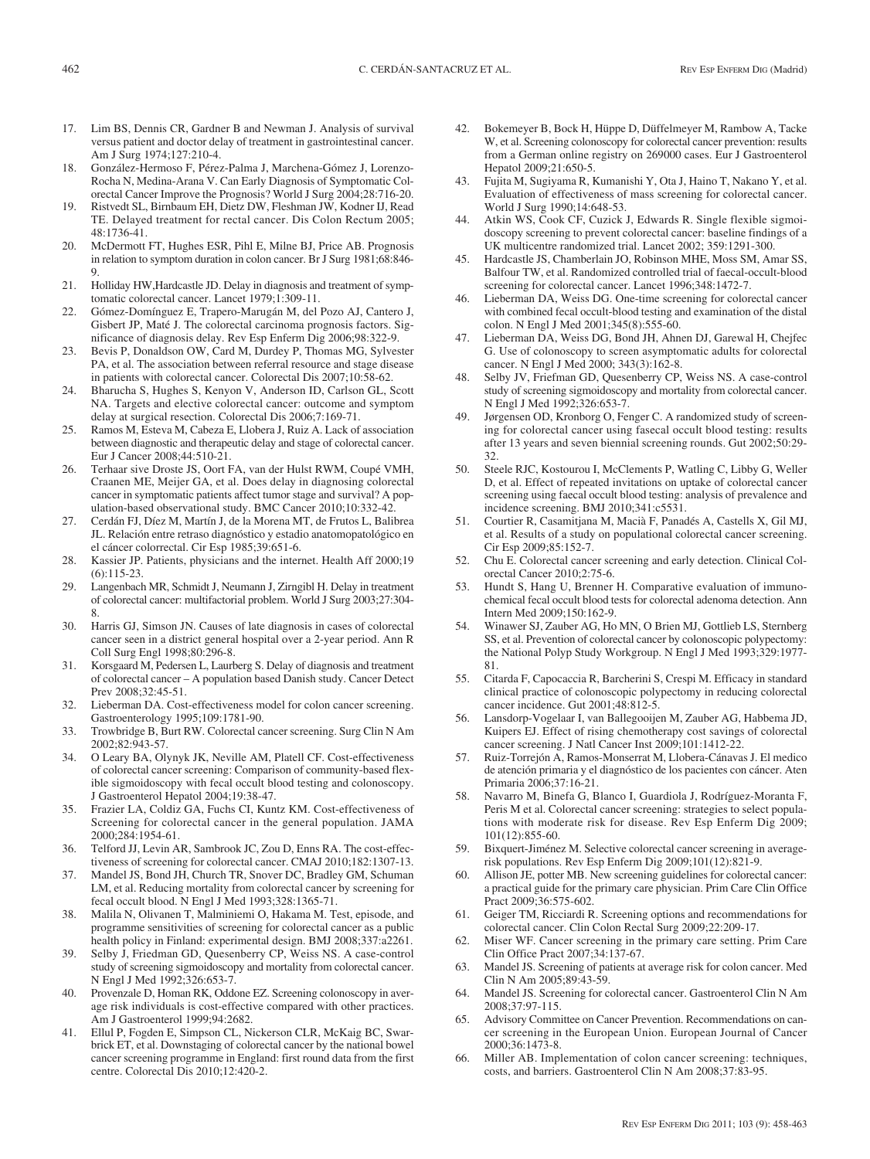- 17. Lim BS, Dennis CR, Gardner B and Newman J. Analysis of survival versus patient and doctor delay of treatment in gastrointestinal cancer. Am J Surg 1974;127:210-4.
- 18. González-Hermoso F, Pérez-Palma J, Marchena-Gómez J, Lorenzo-Rocha N, Medina-Arana V. Can Early Diagnosis of Symptomatic Colorectal Cancer Improve the Prognosis? World J Surg 2004;28:716-20.
- 19. Ristvedt SL, Birnbaum EH, Dietz DW, Fleshman JW, Kodner IJ, Read TE. Delayed treatment for rectal cancer. Dis Colon Rectum 2005; 48:1736-41.
- 20. McDermott FT, Hughes ESR, Pihl E, Milne BJ, Price AB. Prognosis in relation to symptom duration in colon cancer. Br J Surg 1981;68:846- 9.
- 21. Holliday HW,Hardcastle JD. Delay in diagnosis and treatment of symptomatic colorectal cancer. Lancet 1979;1:309-11.
- 22. Gómez-Domínguez E, Trapero-Marugán M, del Pozo AJ, Cantero J, Gisbert JP, Maté J. The colorectal carcinoma prognosis factors. Significance of diagnosis delay. Rev Esp Enferm Dig 2006;98:322-9.
- 23. Bevis P, Donaldson OW, Card M, Durdey P, Thomas MG, Sylvester PA, et al. The association between referral resource and stage disease in patients with colorectal cancer. Colorectal Dis 2007;10:58-62.
- 24. Bharucha S, Hughes S, Kenyon V, Anderson ID, Carlson GL, Scott NA. Targets and elective colorectal cancer: outcome and symptom delay at surgical resection. Colorectal Dis 2006;7:169-71.
- 25. Ramos M, Esteva M, Cabeza E, Llobera J, Ruiz A. Lack of association between diagnostic and therapeutic delay and stage of colorectal cancer. Eur J Cancer 2008;44:510-21.
- 26. Terhaar sive Droste JS, Oort FA, van der Hulst RWM, Coupé VMH, Craanen ME, Meijer GA, et al. Does delay in diagnosing colorectal cancer in symptomatic patients affect tumor stage and survival? A population-based observational study. BMC Cancer 2010;10:332-42.
- 27. Cerdán FJ, Díez M, Martín J, de la Morena MT, de Frutos L, Balibrea JL. Relación entre retraso diagnóstico y estadio anatomopatológico en el cáncer colorrectal. Cir Esp 1985;39:651-6.
- 28. Kassier JP. Patients, physicians and the internet. Health Aff 2000;19 (6):115-23.
- 29. Langenbach MR, Schmidt J, Neumann J, Zirngibl H. Delay in treatment of colorectal cancer: multifactorial problem. World J Surg 2003;27:304- 8.
- 30. Harris GJ, Simson JN. Causes of late diagnosis in cases of colorectal cancer seen in a district general hospital over a 2-year period. Ann R Coll Surg Engl 1998;80:296-8.
- 31. Korsgaard M, Pedersen L, Laurberg S. Delay of diagnosis and treatment of colorectal cancer – A population based Danish study. Cancer Detect Prev 2008;32:45-51.
- 32. Lieberman DA. Cost-effectiveness model for colon cancer screening. Gastroenterology 1995;109:1781-90.
- 33. Trowbridge B, Burt RW. Colorectal cancer screening. Surg Clin N Am 2002;82:943-57.
- 34. O Leary BA, Olynyk JK, Neville AM, Platell CF. Cost-effectiveness of colorectal cancer screening: Comparison of community-based flexible sigmoidoscopy with fecal occult blood testing and colonoscopy. J Gastroenterol Hepatol 2004;19:38-47.
- 35. Frazier LA, Coldiz GA, Fuchs CI, Kuntz KM. Cost-effectiveness of Screening for colorectal cancer in the general population. JAMA 2000;284:1954-61.
- 36. Telford JJ, Levin AR, Sambrook JC, Zou D, Enns RA. The cost-effectiveness of screening for colorectal cancer. CMAJ 2010;182:1307-13.
- 37. Mandel JS, Bond JH, Church TR, Snover DC, Bradley GM, Schuman LM, et al. Reducing mortality from colorectal cancer by screening for fecal occult blood. N Engl J Med 1993;328:1365-71.
- 38. Malila N, Olivanen T, Malminiemi O, Hakama M. Test, episode, and programme sensitivities of screening for colorectal cancer as a public health policy in Finland: experimental design. BMJ 2008;337:a2261.
- Selby J, Friedman GD, Quesenberry CP, Weiss NS. A case-control study of screening sigmoidoscopy and mortality from colorectal cancer. N Engl J Med 1992;326:653-7.
- 40. Provenzale D, Homan RK, Oddone EZ. Screening colonoscopy in average risk individuals is cost-effective compared with other practices. Am J Gastroenterol 1999;94:2682.
- 41. Ellul P, Fogden E, Simpson CL, Nickerson CLR, McKaig BC, Swarbrick ET, et al. Downstaging of colorectal cancer by the national bowel cancer screening programme in England: first round data from the first centre. Colorectal Dis 2010;12:420-2.
- 42. Bokemeyer B, Bock H, Hüppe D, Düffelmeyer M, Rambow A, Tacke W, et al. Screening colonoscopy for colorectal cancer prevention: results from a German online registry on 269000 cases. Eur J Gastroenterol Hepatol 2009;21:650-5.
- 43. Fujita M, Sugiyama R, Kumanishi Y, Ota J, Haino T, Nakano Y, et al. Evaluation of effectiveness of mass screening for colorectal cancer. World J Surg 1990;14:648-53.
- 44. Atkin WS, Cook CF, Cuzick J, Edwards R. Single flexible sigmoidoscopy screening to prevent colorectal cancer: baseline findings of a UK multicentre randomized trial. Lancet 2002; 359:1291-300.
- 45. Hardcastle JS, Chamberlain JO, Robinson MHE, Moss SM, Amar SS, Balfour TW, et al. Randomized controlled trial of faecal-occult-blood screening for colorectal cancer. Lancet 1996;348:1472-7.
- 46. Lieberman DA, Weiss DG. One-time screening for colorectal cancer with combined fecal occult-blood testing and examination of the distal colon. N Engl J Med 2001;345(8):555-60.
- 47. Lieberman DA, Weiss DG, Bond JH, Ahnen DJ, Garewal H, Chejfec G. Use of colonoscopy to screen asymptomatic adults for colorectal cancer. N Engl J Med 2000; 343(3):162-8.
- 48. Selby JV, Friefman GD, Quesenberry CP, Weiss NS. A case-control study of screening sigmoidoscopy and mortality from colorectal cancer. N Engl J Med 1992;326:653-7.
- 49. Jørgensen OD, Kronborg O, Fenger C. A randomized study of screening for colorectal cancer using fasecal occult blood testing: results after 13 years and seven biennial screening rounds. Gut 2002;50:29- 32.
- 50. Steele RJC, Kostourou I, McClements P, Watling C, Libby G, Weller D, et al. Effect of repeated invitations on uptake of colorectal cancer screening using faecal occult blood testing: analysis of prevalence and incidence screening. BMJ 2010;341:c5531.
- 51. Courtier R, Casamitjana M, Macià F, Panadés A, Castells X, Gil MJ, et al. Results of a study on populational colorectal cancer screening. Cir Esp 2009;85:152-7.
- 52. Chu E. Colorectal cancer screening and early detection. Clinical Colorectal Cancer 2010;2:75-6.
- 53. Hundt S, Hang U, Brenner H. Comparative evaluation of immunochemical fecal occult blood tests for colorectal adenoma detection. Ann Intern Med 2009;150:162-9.
- 54. Winawer SJ, Zauber AG, Ho MN, O Brien MJ, Gottlieb LS, Sternberg SS, et al. Prevention of colorectal cancer by colonoscopic polypectomy: the National Polyp Study Workgroup. N Engl J Med 1993;329:1977- 81.
- 55. Citarda F, Capocaccia R, Barcherini S, Crespi M. Efficacy in standard clinical practice of colonoscopic polypectomy in reducing colorectal cancer incidence. Gut 2001;48:812-5.
- 56. Lansdorp-Vogelaar I, van Ballegooijen M, Zauber AG, Habbema JD, Kuipers EJ. Effect of rising chemotherapy cost savings of colorectal cancer screening. J Natl Cancer Inst 2009;101:1412-22.
- 57. Ruiz-Torrejón A, Ramos-Monserrat M, Llobera-Cánavas J. El medico de atención primaria y el diagnóstico de los pacientes con cáncer. Aten Primaria 2006;37:16-21.
- 58. Navarro M, Binefa G, Blanco I, Guardiola J, Rodríguez-Moranta F, Peris M et al. Colorectal cancer screening: strategies to select populations with moderate risk for disease. Rev Esp Enferm Dig 2009; 101(12):855-60.
- 59. Bixquert-Jiménez M. Selective colorectal cancer screening in averagerisk populations. Rev Esp Enferm Dig 2009;101(12):821-9.
- 60. Allison JE, potter MB. New screening guidelines for colorectal cancer: a practical guide for the primary care physician. Prim Care Clin Office Pract 2009;36:575-602.
- 61. Geiger TM, Ricciardi R. Screening options and recommendations for colorectal cancer. Clin Colon Rectal Surg 2009;22:209-17.
- 62. Miser WF. Cancer screening in the primary care setting. Prim Care Clin Office Pract 2007;34:137-67.
- 63. Mandel JS. Screening of patients at average risk for colon cancer. Med Clin N Am 2005;89:43-59.
- 64. Mandel JS. Screening for colorectal cancer. Gastroenterol Clin N Am 2008;37:97-115.
- 65. Advisory Committee on Cancer Prevention. Recommendations on cancer screening in the European Union. European Journal of Cancer 2000;36:1473-8.
- 66. Miller AB. Implementation of colon cancer screening: techniques, costs, and barriers. Gastroenterol Clin N Am 2008;37:83-95.